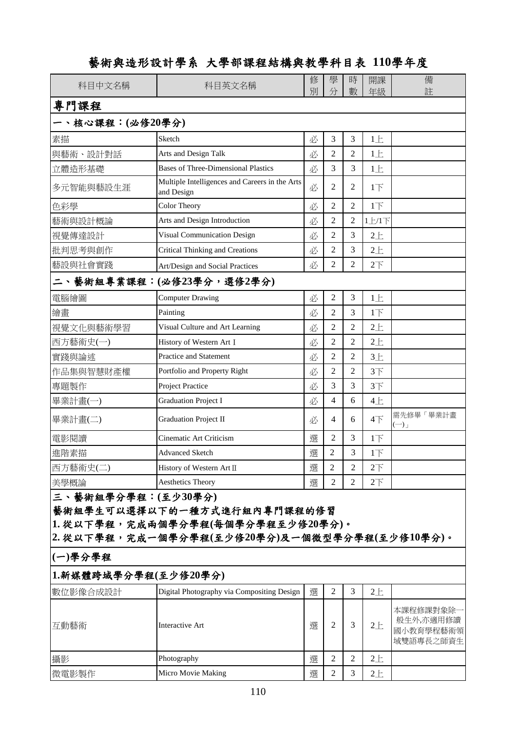#### 修 學 時 開課 情 別 分 | 數 | 年級 | | | 主許 素描 Sketch 必 3 3 1上 與藝術、設計對話 Arts and Design Talk | 必 | 2 | 2 | 1上 立體造形基礎 Bases of Three-Dimensional Plastics  $\Box$   $\Box$  3 3 3 1 1  $\bot$ 多元智能與藝設生涯 Multiple Intelligences and Careers in the Arts  $\begin{array}{|l|l|}\n\end{array}\n\left\{\n\begin{array}{c|c|c}\n2 & 2 & 1\n\end{array}\n\right.$ 色彩學 Color Theory 必 2 2 1下 藝術與設計概論 Arts and Design Introduction | 必 | 2 | 2 | 1上/1下 視覺傳達設計 | Visual Communication Design | 必 | 2 | 3 | 2上 批判思考與創作 Critical Thinking and Creations | 必 | 2 | 3 | 2上 藝設與社會實踐 Art/Design and Social Practices 必 2 2 2下 電腦繪圖 Computer Drawing 必 2 3 1上 繪畫 Painting 必 2 3 1下 視覺文化與藝術學習 Visual Culture and Art Learning | 必 | 2 | 2 | 2上 西方藝術史(一) History of Western ArtⅠ 必 2 2 2上 **實踐與論述** Practice and Statement <br>
2 2 3 E 作品集與智慧財產權 Portfolio and Property Right  $\Box$  2 2 3 下 專題製作 Project Practice 必 3 3 3下 **畢業計畫(一)** Graduation Project I → N 3 4 6 4上 ■業計畫(二) Graduation Project Π  $\mu$  | 4 | 6 | 4下 需先修畢「畢業計畫  $(-)$ 電影閱讀 Cinematic Art Criticism 選 2 3 1下 進階素描 Advanced Sketch | 撰 | 2 | 3 | 1下 西方藝術史(二) History of Western ArtⅡ 選 2 2 2下  $\frac{1}{2}$ 美學概論 Aesthetics Theory インタンスタンスタンスター 撰 2 2 2 2下 **數位影像合成設計 Digital Photography via Compositing Design | 選 | 2 | 3 | 2上** 互動藝術 Interactive Art 選 2 3 2上 本課程修課對象除一 般生外,亦適用修讀 國小教育學程藝術領 域雙語專長之師資生 攝影 Photography 選 2 2 2上 **(**一**)**學分學程 **1.**新媒體跨域學分學程**(**至少修**20**學分**)** 專門課程 一、核心課程:**(**必修**20**學分**)** 二、藝術組專業課程:**(**必修**23**學分,選修**2**學分**)** 三、藝術組學分學程:**(**至少**30**學分**)** 藝術組學生可以選擇以下的一種方式進行組內專門課程的修習 **1.** 從以下學程,完成兩個學分學程**(**每個學分學程至少修**20**學分**)**。 **2.** 從以下學程,完成一個學分學程**(**至少修**20**學分**)**及一個微型學分學程**(**至少修**10**學分**)**。 科目中文名稱 | 科目英文名稱

### 藝術與造形設計學系大學部課程結構與教學科目表 **110**學年度

微電影製作 インディー Micro Movie Making インディー インディング トランプ ぼ 日 2 1 3 1 2上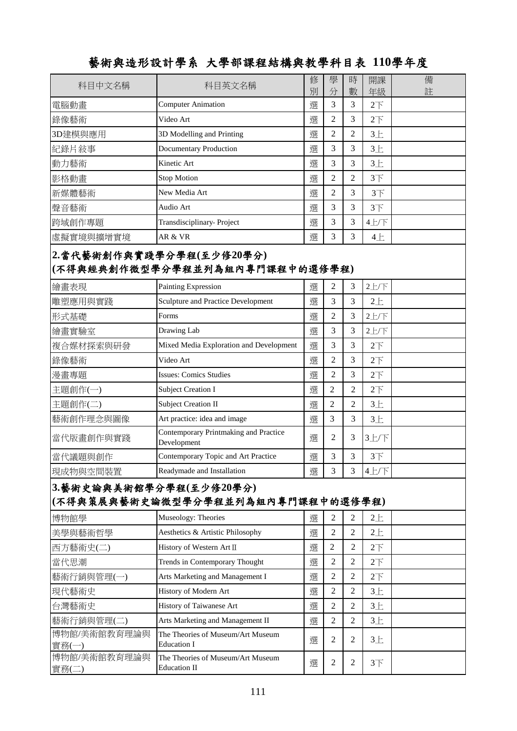| $\sim$ $\sim$ $\sim$ $\sim$ $\sim$ $\sim$ $\sim$ $\sim$ | when the case of $\Delta x$ and $\Delta y$ and $\Delta x$ and $\Delta y$ |        |                |                |                       |        |
|---------------------------------------------------------|--------------------------------------------------------------------------|--------|----------------|----------------|-----------------------|--------|
| 科目中文名稱                                                  | 科目英文名稱                                                                   | 修<br>別 | 學<br>分         | 時<br>數         | 開課<br>年級              | 備<br>註 |
| 電腦動畫                                                    | <b>Computer Animation</b>                                                | 選      | 3              | 3              | 2 <sup>T</sup>        |        |
| 錄像藝術                                                    | Video Art                                                                | 選      | $\overline{2}$ | 3              | 2 <sup>T</sup>        |        |
| 3D建模與應用                                                 | 3D Modelling and Printing                                                | 選      | $\overline{2}$ | $\overline{2}$ | $3+$                  |        |
| 紀錄片敍事                                                   | <b>Documentary Production</b>                                            | 選      | 3              | 3              | $3+$                  |        |
| 動力藝術                                                    | Kinetic Art                                                              | 選      | 3              | 3              | $3+$                  |        |
| 影格動畫                                                    | <b>Stop Motion</b>                                                       | 選      | $\overline{2}$ | $\overline{2}$ | 3 <sup>7</sup>        |        |
| 新媒體藝術                                                   | New Media Art                                                            | 選      | $\mathfrak{2}$ | 3              | $3+$                  |        |
| 聲音藝術                                                    | Audio Art                                                                | 選      | 3              | 3              | 3 <sup>7</sup>        |        |
| 跨域創作專題                                                  | Transdisciplinary-Project                                                | 選      | 3              | 3              | 4上/下                  |        |
| 虛擬實境與擴增實境                                               | AR & VR                                                                  | 選      | 3              | 3              | 4E                    |        |
|                                                         | 2.當代藝術創作與實踐學分學程(至少修20學分)<br>(不得與經典創作微型學分學程並列為組內專門課程中的選修學程)               |        |                |                |                       |        |
| 繪畫表現                                                    | Painting Expression                                                      | 選      | $\mathfrak{2}$ | 3              | $2$ 上/下               |        |
| 雕塑應用與實踐                                                 | Sculpture and Practice Development                                       | 選      | 3              | 3              | 2E                    |        |
| 形式基礎                                                    | Forms                                                                    | 選      | $\overline{2}$ | 3              | 2上/下                  |        |
| 繪畫實驗室                                                   | Drawing Lab                                                              | 選      | 3              | 3              | 2上/下                  |        |
| 複合媒材探索與研發                                               | Mixed Media Exploration and Development                                  | 選      | 3              | 3              | 2 <sup>T</sup>        |        |
| 錄像藝術                                                    | Video Art                                                                | 選      | $\mathfrak{2}$ | 3              | 2 <sup>T</sup>        |        |
| 漫畫專題                                                    | <b>Issues: Comics Studies</b>                                            | 選      | $\overline{2}$ | 3              | 2 <sup>7</sup>        |        |
| 主題創作(一)                                                 | <b>Subject Creation I</b>                                                | 選      | $\overline{2}$ | 2              | 2 <sup>T</sup>        |        |
| 主題創作(二)                                                 | <b>Subject Creation II</b>                                               | 選      | $\overline{c}$ | $\overline{c}$ | $3+$                  |        |
| 藝術創作理念與圖像                                               | Art practice: idea and image                                             | 選      | 3              | 3              | $3+$                  |        |
| 當代版畫創作與實踐                                               | Contemporary Printmaking and Practice<br>Development                     | 選      | $\overline{2}$ | 3              | 3上/下                  |        |
| 當代議題與創作                                                 | Contemporary Topic and Art Practice                                      | 選      | 3              | 3              | 3 <sup>7</sup>        |        |
| 現成物與空間裝置                                                | Readymade and Installation                                               | 選      | 3              | 3              | 4上/下                  |        |
| 3.藝術史論與美術館學分學程(至少修20學分)                                 | (不得與策展與藝術史論微型學分學程並列為組內專門課程中的選修學程)                                        |        |                |                |                       |        |
| 博物館學                                                    | Museology: Theories                                                      | 選      | $\overline{2}$ | $\overline{2}$ | 2E                    |        |
| 美學與藝術哲學                                                 | Aesthetics & Artistic Philosophy                                         | 選      | $\overline{2}$ | $\overline{2}$ | 2E                    |        |
| 西方藝術史(二)                                                | History of Western Art II                                                | 選      | 2              | 2              | $2\overline{F}$       |        |
| 當代思潮                                                    | Trends in Contemporary Thought                                           | 選      | $\overline{2}$ | $\overline{2}$ | $2\top$               |        |
| 藝術行銷與管理(一)                                              | Arts Marketing and Management I                                          | 選      | $\mathfrak{2}$ | 2              | $2\overrightarrow{F}$ |        |
| 現代藝術史                                                   | History of Modern Art                                                    | 選      | $\overline{2}$ | $\overline{2}$ | 3E                    |        |
| 台灣藝術史                                                   | History of Taiwanese Art                                                 | 選      | $\overline{2}$ | $\overline{2}$ | 3E                    |        |
| 藝術行銷與管理(二)                                              | Arts Marketing and Management II                                         | 選      | $\overline{2}$ | 2              | 3E                    |        |
| 博物館/美術館教育理論與<br><b>實務(一)</b>                            | The Theories of Museum/Art Museum<br><b>Education I</b>                  | 選      | $\overline{c}$ | 2              | 3E                    |        |

The Theories of Museum/Art Museum<br>Education II

The Theories of Museum/Art Museum

實務(一)

實務(二)

博物館/美術館教育理論與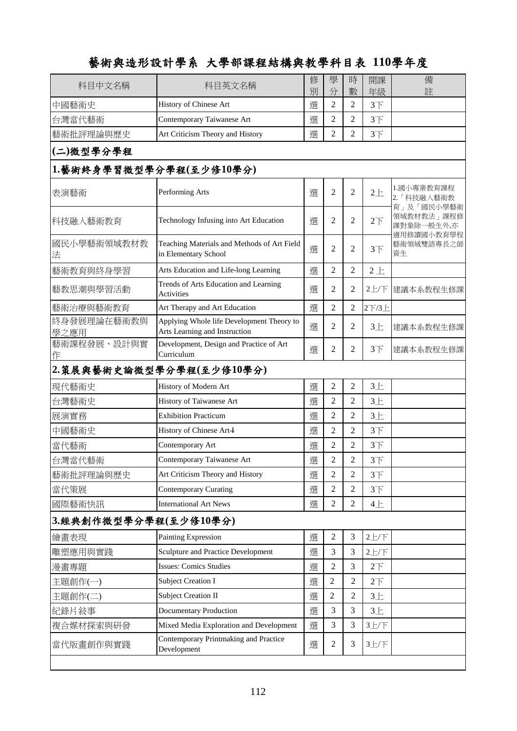| 中國藝術史<br>History of Chinese Art<br>Contemporary Taiwanese Art<br>台灣當代藝術<br>Art Criticism Theory and History<br>藝術批評理論與歷史<br>(二)微型學分學程<br>1.藝術終身學習微型學分學程(至少修10學分)<br>Performing Arts<br>表演藝術<br>科技融入藝術教育<br>Technology Infusing into Art Education<br>國民小學藝術領域教材教<br>Teaching Materials and Methods of Art Field<br>in Elementary School<br>法<br>Arts Education and Life-long Learning<br>藝術教育與終身學習 | 別<br>選<br>選<br>選<br>選<br>選<br>選<br>選<br>選<br>選 | 分<br>$\overline{2}$<br>$\overline{c}$<br>2<br>$\overline{2}$<br>2<br>2<br>2<br>2<br>$\overline{c}$ | 數<br>$\overline{2}$<br>2<br>2<br>$\overline{2}$<br>2<br>$\overline{2}$<br>2<br>$\overline{2}$ | 年級<br>$3+$<br>3 <sup>7</sup><br>$3+$<br>$2+$<br>2 <sup>T</sup><br>$3+$<br>$2+$ | 註<br>1.國小專業教育課程<br>2. 「科技融入藝術教<br>育」及「國民小學藝術<br>領域教材教法」課程修<br>課對象除一般生外,亦<br>適用修讀國小教育學程<br>藝術領域雙語專長之師<br>資生 |
|----------------------------------------------------------------------------------------------------------------------------------------------------------------------------------------------------------------------------------------------------------------------------------------------------------------------------------------------------------------------------------------------------|------------------------------------------------|----------------------------------------------------------------------------------------------------|-----------------------------------------------------------------------------------------------|--------------------------------------------------------------------------------|------------------------------------------------------------------------------------------------------------|
|                                                                                                                                                                                                                                                                                                                                                                                                    |                                                |                                                                                                    |                                                                                               |                                                                                |                                                                                                            |
|                                                                                                                                                                                                                                                                                                                                                                                                    |                                                |                                                                                                    |                                                                                               |                                                                                |                                                                                                            |
|                                                                                                                                                                                                                                                                                                                                                                                                    |                                                |                                                                                                    |                                                                                               |                                                                                |                                                                                                            |
|                                                                                                                                                                                                                                                                                                                                                                                                    |                                                |                                                                                                    |                                                                                               |                                                                                |                                                                                                            |
|                                                                                                                                                                                                                                                                                                                                                                                                    |                                                |                                                                                                    |                                                                                               |                                                                                |                                                                                                            |
|                                                                                                                                                                                                                                                                                                                                                                                                    |                                                |                                                                                                    |                                                                                               |                                                                                |                                                                                                            |
|                                                                                                                                                                                                                                                                                                                                                                                                    |                                                |                                                                                                    |                                                                                               |                                                                                |                                                                                                            |
|                                                                                                                                                                                                                                                                                                                                                                                                    |                                                |                                                                                                    |                                                                                               |                                                                                |                                                                                                            |
|                                                                                                                                                                                                                                                                                                                                                                                                    |                                                |                                                                                                    |                                                                                               |                                                                                |                                                                                                            |
| Trends of Arts Education and Learning<br>藝教思潮與學習活動<br><b>Activities</b>                                                                                                                                                                                                                                                                                                                            |                                                |                                                                                                    |                                                                                               | 2上/下                                                                           | 建議本系教程生修課                                                                                                  |
| 藝術治療與藝術教育<br>Art Therapy and Art Education                                                                                                                                                                                                                                                                                                                                                         |                                                |                                                                                                    | $\overline{c}$                                                                                | 2下/3上                                                                          |                                                                                                            |
| 終身發展理論在藝術教與<br>Applying Whole life Development Theory to<br>Arts Learning and Instruction<br>學之應用                                                                                                                                                                                                                                                                                                  | 選                                              | 2                                                                                                  | $\overline{2}$                                                                                | $3+$                                                                           | 建議本系教程生修課                                                                                                  |
| 藝術課程發展、設計與實<br>Development, Design and Practice of Art<br>Curriculum<br>作                                                                                                                                                                                                                                                                                                                          | 選                                              | $\overline{2}$                                                                                     | $\overline{2}$                                                                                | $3+$                                                                           | 建議本系教程生修課                                                                                                  |
| 2. 策展與藝術史論微型學分學程(至少修10學分)                                                                                                                                                                                                                                                                                                                                                                          |                                                |                                                                                                    |                                                                                               |                                                                                |                                                                                                            |
| History of Modern Art<br>現代藝術史                                                                                                                                                                                                                                                                                                                                                                     | 選                                              | $\overline{2}$                                                                                     | $\mathfrak{2}$                                                                                | $3+$                                                                           |                                                                                                            |
| 台灣藝術史<br>History of Taiwanese Art                                                                                                                                                                                                                                                                                                                                                                  | 選                                              | 2                                                                                                  | 2                                                                                             | $3+$                                                                           |                                                                                                            |
| <b>Exhibition Practicum</b><br>展演實務                                                                                                                                                                                                                                                                                                                                                                | 選                                              | $\overline{c}$                                                                                     | 2                                                                                             | $3+$                                                                           |                                                                                                            |
| 中國藝術史<br>History of Chinese Art-                                                                                                                                                                                                                                                                                                                                                                   | 選                                              | $\overline{2}$                                                                                     | $\overline{2}$                                                                                | $3+$                                                                           |                                                                                                            |
| 當代藝術<br>Contemporary Art                                                                                                                                                                                                                                                                                                                                                                           | 選                                              | 2                                                                                                  | 2                                                                                             | 3 <sup>7</sup>                                                                 |                                                                                                            |
| 台灣當代藝術<br>Contemporary Taiwanese Art                                                                                                                                                                                                                                                                                                                                                               | 撰                                              | $\overline{c}$                                                                                     | $\overline{2}$                                                                                | 3 <sup>7</sup>                                                                 |                                                                                                            |
| Art Criticism Theory and History<br>藝術批評理論與歷史                                                                                                                                                                                                                                                                                                                                                      | 選                                              | 2                                                                                                  | $\overline{2}$                                                                                | $3+$                                                                           |                                                                                                            |
| <b>Contemporary Curating</b><br>當代策展                                                                                                                                                                                                                                                                                                                                                               | 選                                              | $\overline{c}$                                                                                     | 2                                                                                             | $3+$                                                                           |                                                                                                            |
| <b>International Art News</b><br>國際藝術快訊                                                                                                                                                                                                                                                                                                                                                            | 選                                              | 2                                                                                                  | 2                                                                                             | 4E                                                                             |                                                                                                            |
| 3.經典創作微型學分學程(至少修10學分)                                                                                                                                                                                                                                                                                                                                                                              |                                                |                                                                                                    |                                                                                               |                                                                                |                                                                                                            |
| Painting Expression<br>繪畫表現                                                                                                                                                                                                                                                                                                                                                                        | 選                                              | $\overline{c}$                                                                                     | 3                                                                                             | 2上/下                                                                           |                                                                                                            |
| Sculpture and Practice Development<br>雕塑應用與實踐                                                                                                                                                                                                                                                                                                                                                      | 選                                              | 3                                                                                                  | 3                                                                                             | 2上/下                                                                           |                                                                                                            |
| <b>Issues: Comics Studies</b><br>漫畫專題                                                                                                                                                                                                                                                                                                                                                              | 選                                              | 2                                                                                                  | 3                                                                                             | 2 <sup>T</sup>                                                                 |                                                                                                            |
| <b>Subject Creation I</b><br>主題創作(一)                                                                                                                                                                                                                                                                                                                                                               | 選                                              | $\overline{2}$                                                                                     | 2                                                                                             | 2 <sup>T</sup>                                                                 |                                                                                                            |
| 主題創作(二)<br><b>Subject Creation II</b>                                                                                                                                                                                                                                                                                                                                                              | 選                                              | $\overline{2}$                                                                                     | 2                                                                                             | 3E                                                                             |                                                                                                            |
| 紀錄片敍事<br><b>Documentary Production</b>                                                                                                                                                                                                                                                                                                                                                             | 選                                              | 3                                                                                                  | 3                                                                                             | 3E                                                                             |                                                                                                            |
| Mixed Media Exploration and Development<br>複合媒材探索與研發                                                                                                                                                                                                                                                                                                                                               | 選                                              | 3                                                                                                  | 3                                                                                             | 3上/下                                                                           |                                                                                                            |
| Contemporary Printmaking and Practice<br>當代版畫創作與實踐<br>Development                                                                                                                                                                                                                                                                                                                                  | 選                                              | 2                                                                                                  | 3                                                                                             | 3上/下                                                                           |                                                                                                            |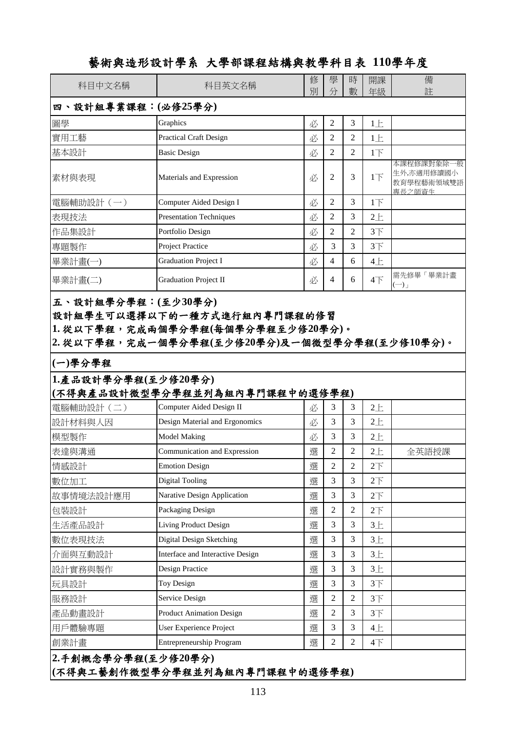| 科目中文名稱              | 科目英文名稱                                              | 修<br>別 | 學<br>分              | 時<br>數              | 開課<br>年級        | 備<br>註                                           |
|---------------------|-----------------------------------------------------|--------|---------------------|---------------------|-----------------|--------------------------------------------------|
| 四、設計組專業課程:(必修25學分)  |                                                     |        |                     |                     |                 |                                                  |
| 圖學                  | Graphics                                            | 必      | $\overline{2}$      | 3                   | 1E              |                                                  |
| 實用工藝                | <b>Practical Craft Design</b>                       | 必      | $\overline{2}$      | $\overline{2}$      | 1E              |                                                  |
| 基本設計                | <b>Basic Design</b>                                 | 必      | $\overline{2}$      | $\overline{2}$      | 1 <sub>l</sub>  |                                                  |
| 素材與表現               | Materials and Expression                            | 必      | 2                   | 3                   | $1\overline{1}$ | 本課程修課對象除一般<br>生外,亦適用修讀國小<br>教育學程藝術領域雙語<br>專長之師資生 |
| 電腦輔助設計(一)           | Computer Aided Design I                             | 必      | $\overline{2}$      | 3                   | 1 <sub>T</sub>  |                                                  |
| 表現技法                | <b>Presentation Techniques</b>                      | 必      | $\overline{c}$      | 3                   | $2+$            |                                                  |
| 作品集設計               | Portfolio Design                                    | 必      | $\mathfrak{2}$      | $\overline{2}$      | $3+$            |                                                  |
| 專題製作                | <b>Project Practice</b>                             | 必      | 3                   | 3                   | 3 <sup>7</sup>  |                                                  |
| 畢業計畫(一)             | <b>Graduation Project I</b>                         | 必      | $\overline{4}$      | 6                   | 4E              |                                                  |
| 畢業計畫(二)             | <b>Graduation Project II</b>                        | 必      | 4                   | 6                   | $4+$            | 需先修畢「畢業計畫<br>$(-)$                               |
| 1.產品設計學分學程(至少修20學分) | (不得與產品設計微型學分學程並列為組內專門課程中的選修學程)                      |        |                     |                     |                 |                                                  |
| 電腦輔助設計(二)           | Computer Aided Design II                            | 必      | 3                   | 3                   | $2+$            |                                                  |
| 設計材料與人因             | Design Material and Ergonomics                      | 必      | 3                   | 3                   | $2+$            |                                                  |
| 模型製作                | <b>Model Making</b>                                 | 必      | 3                   | 3                   | $2+$            |                                                  |
| 表達與溝通               | Communication and Expression                        | 選      | $\overline{2}$      | 2                   | $2+$            | 全英語授課                                            |
| 情感設計                | <b>Emotion Design</b>                               | 選      | $\mathfrak{2}$      | $\overline{2}$      | 2 <sup>7</sup>  |                                                  |
| 數位加工                | <b>Digital Tooling</b>                              | 選      | 3                   | 3                   | 2 <sup>7</sup>  |                                                  |
| 故事情境法設計應用           |                                                     |        | 3                   | 3                   | 2 <sup>T</sup>  |                                                  |
| 包裝設計                | Narative Design Application                         | 選      |                     |                     |                 |                                                  |
|                     | Packaging Design                                    | 選      | $\overline{2}$      | $\overline{2}$      | 2 <sup>T</sup>  |                                                  |
| 生活產品設計              | Living Product Design                               | 選      | 3                   | 3                   | 3E              |                                                  |
| 數位表現技法              | Digital Design Sketching                            | 選      | 3                   | 3                   | $3+$            |                                                  |
| 介面與互動設計             | Interface and Interactive Design                    | 選      | 3                   | 3                   | $3+$            |                                                  |
| 設計實務與製作             | Design Practice                                     | 選      | 3                   | 3                   | 3E              |                                                  |
| 玩具設計                | Toy Design                                          | 選      | 3                   | 3                   | 3 <sup>7</sup>  |                                                  |
| 服務設計                | Service Design                                      | 選      | $\overline{2}$      | $\overline{2}$      | $3+$            |                                                  |
| 產品動畫設計              | <b>Product Animation Design</b>                     | 選      | $\overline{2}$      | 3                   | 3 <sup>7</sup>  |                                                  |
| 用戶體驗專題<br>創業計畫      | User Experience Project<br>Entrepreneurship Program | 選<br>選 | 3<br>$\overline{2}$ | 3<br>$\overline{2}$ | 4E<br>$4+$      |                                                  |

**(**不得與工藝創作微型學分學程並列為組內專門課程中的選修學程**)**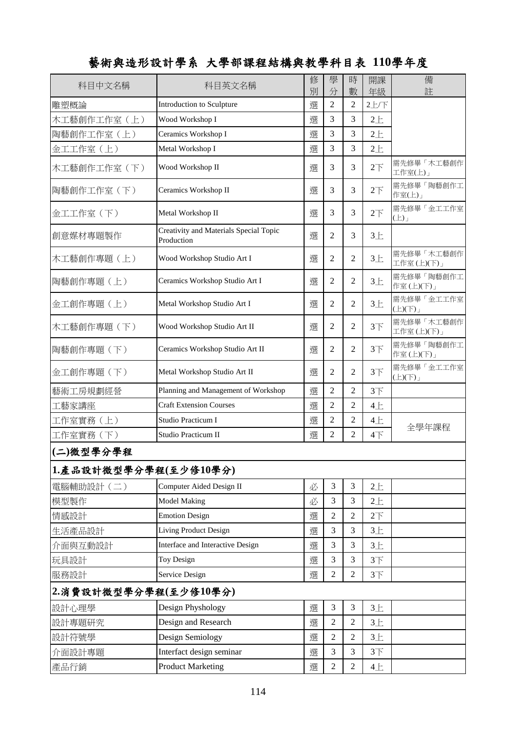| 科目中文名稱                | 科目英文名稱                                               | 修<br>別 | 學<br>分         | 時<br>數         | 開課<br>年級        | 備<br>註                      |
|-----------------------|------------------------------------------------------|--------|----------------|----------------|-----------------|-----------------------------|
| 雕塑概論                  | Introduction to Sculpture                            | 選      | $\overline{2}$ | $\overline{2}$ | 2上/下            |                             |
| 木工藝創作工作室(上)           | Wood Workshop I                                      | 選      | 3              | 3              | $2+$            |                             |
| 陶藝創作工作室 (上)           | Ceramics Workshop I                                  | 選      | 3              | 3              | 2E              |                             |
| 金工工作室(上)              | Metal Workshop I                                     | 選      | 3              | 3              | $2+$            |                             |
| 木工藝創作工作室(下)           | Wood Workshop II                                     | 選      | 3              | 3              | $2\overline{1}$ | 需先修畢「木工藝創作<br>工作室(上)」       |
| 陶藝創作工作室 (下)           | Ceramics Workshop II                                 | 選      | 3              | 3              | $2\overline{1}$ | 需先修畢「陶藝創作工<br>作室(上)」        |
| 金工工作室(下)              | Metal Workshop II                                    | 選      | 3              | 3              | $2\overline{1}$ | 需先修畢「金工工作室<br>(L)           |
| 創意媒材專題製作              | Creativity and Materials Special Topic<br>Production | 選      | $\overline{2}$ | 3              | $3+$            |                             |
| 木工藝創作專題(上)            | Wood Workshop Studio Art I                           | 選      | $\overline{2}$ | 2              | 3E              | 需先修畢「木工藝創作<br>工作室(上)(下)」    |
| 陶藝創作專題(上)             | Ceramics Workshop Studio Art I                       | 選      | $\overline{2}$ | 2              | $3+$            | 需先修畢「陶藝創作工<br>作室(上)(下)」     |
| 金工創作專題 (上)            | Metal Workshop Studio Art I                          | 選      | $\overline{2}$ | 2              | $3+$            | 需先修畢「金工工作室<br>$(\pm)(\mp)$  |
| 木工藝創作專題(下)            | Wood Workshop Studio Art II                          | 選      | $\overline{2}$ | 2              | $3+$            | 需先修畢「木工藝創作<br>工作室(上)(下)」    |
| 陶藝創作專題(下)             | Ceramics Workshop Studio Art II                      | 選      | $\overline{2}$ | 2              | $3+$            | 需先修畢「陶藝創作工<br>作室(上)(下)」     |
| 金工創作專題(下)             | Metal Workshop Studio Art II                         | 選      | $\overline{2}$ | 2              | $3+$            | 需先修畢「金工工作室<br>$(\pm)(\top)$ |
| 藝術工房規劃經營              | Planning and Management of Workshop                  | 選      | $\overline{2}$ | $\overline{2}$ | 3 <sup>7</sup>  |                             |
| 工藝家講座                 | <b>Craft Extension Courses</b>                       | 選      | $\overline{2}$ | 2              | 4E              |                             |
| 工作室實務(上)              | Studio Practicum I                                   | 選      | $\overline{2}$ | 2              | 4E              |                             |
| 工作室實務(下)              | Studio Practicum II                                  | 選      | $\overline{2}$ | $\overline{2}$ | $4+$            | 全學年課程                       |
| (二)微型學分學程             |                                                      |        |                |                |                 |                             |
| 1.產品設計微型學分學程(至少修10學分) |                                                      |        |                |                |                 |                             |
| 電腦輔助設計(二)             | Computer Aided Design II                             | 必      | 3              | 3              | 2E              |                             |
| 模型製作                  | <b>Model Making</b>                                  | 必      | 3              | 3              | 2E              |                             |
| 情感設計                  | <b>Emotion Design</b>                                | 選      | 2              | 2              | 2 <sup>T</sup>  |                             |
| 生活產品設計                | Living Product Design                                | 選      | 3              | 3              | 3E              |                             |
| 介面與互動設計               | Interface and Interactive Design                     | 選      | 3              | 3              | 3E              |                             |
| 玩具設計                  | Toy Design                                           | 選      | 3              | 3              | 3 <sup>7</sup>  |                             |
| 服務設計                  | Service Design                                       | 選      | $\overline{2}$ | $\overline{2}$ | 3 <sup>7</sup>  |                             |
| 2.消費設計微型學分學程(至少修10學分) |                                                      |        |                |                |                 |                             |
| 設計心理學                 | Design Physhology                                    | 選      | 3              | 3              | 3E              |                             |
| 設計專題研究                | Design and Research                                  | 選      | 2              | 2              | 3E              |                             |
| 設計符號學                 | Design Semiology                                     | 選      | 2              | 2              | $3+$            |                             |
| 介面設計專題                | Interfact design seminar                             | 選      | 3              | 3              | 3 <sup>7</sup>  |                             |
| 產品行銷                  | <b>Product Marketing</b>                             | 選      | $\overline{2}$ | $\overline{2}$ | 4E              |                             |